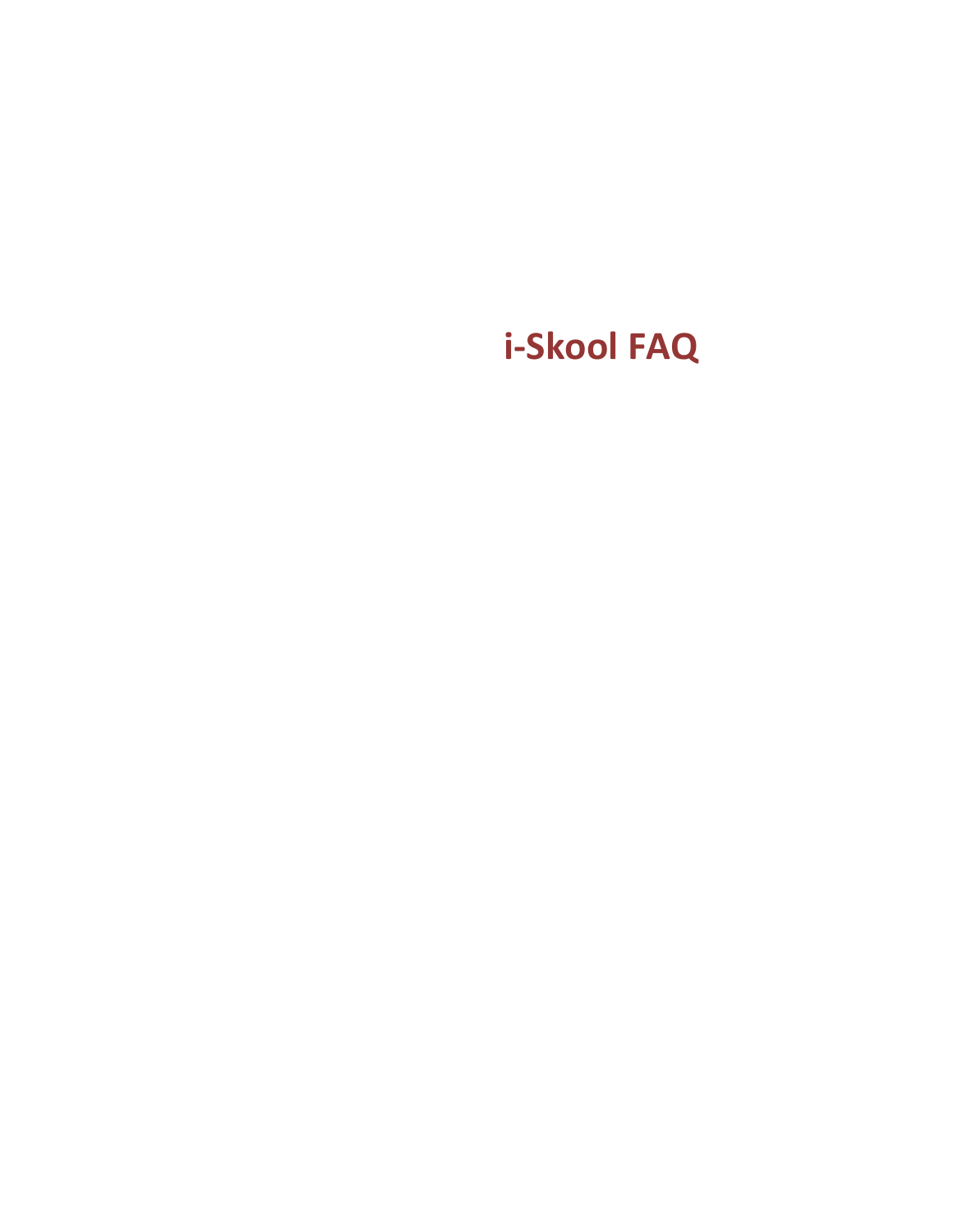# **i-Skool FAQ**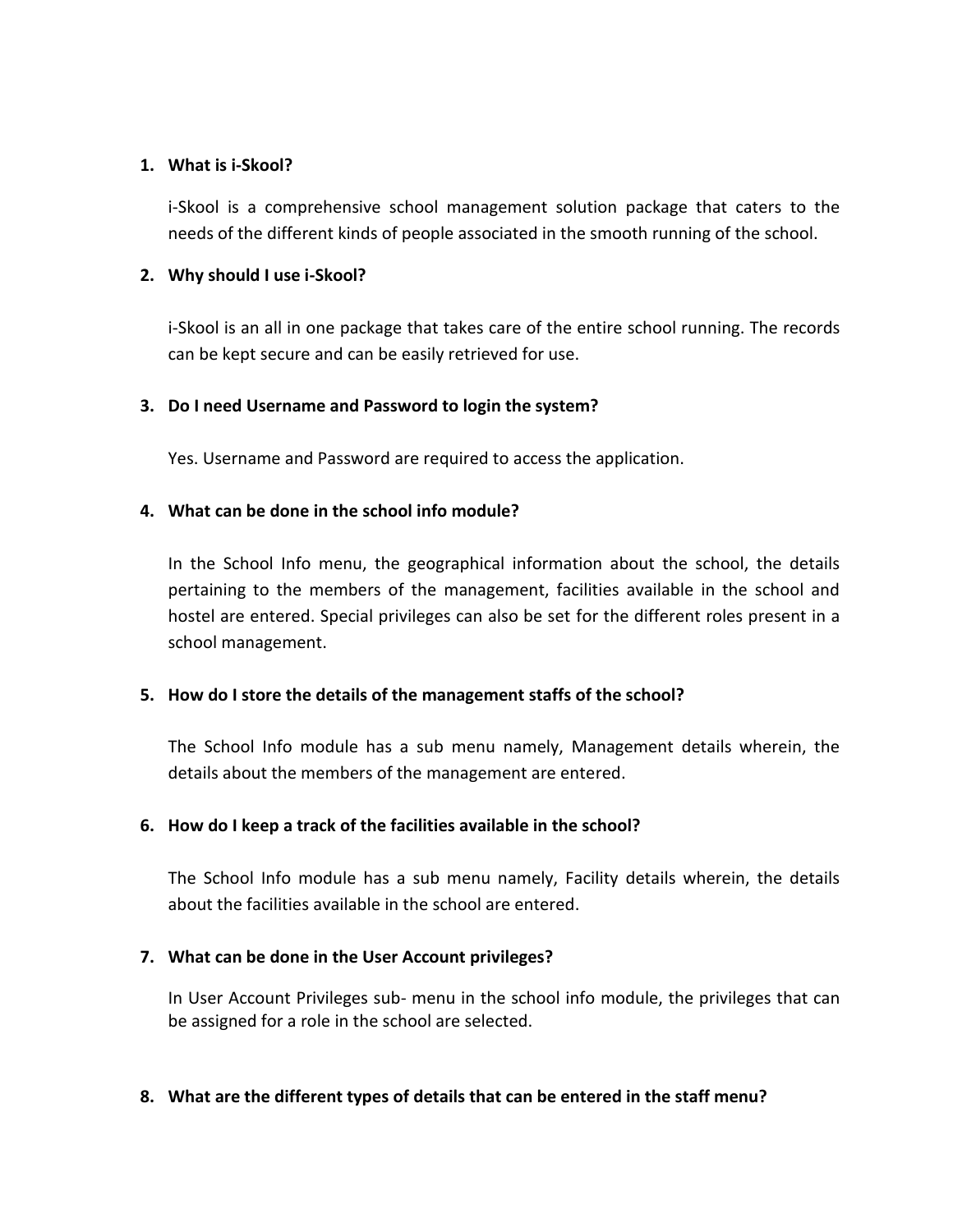#### **1. What is i-Skool?**

i-Skool is a comprehensive school management solution package that caters to the needs of the different kinds of people associated in the smooth running of the school.

#### **2. Why should I use i-Skool?**

i-Skool is an all in one package that takes care of the entire school running. The records can be kept secure and can be easily retrieved for use.

#### **3. Do I need Username and Password to login the system?**

Yes. Username and Password are required to access the application.

#### **4. What can be done in the school info module?**

In the School Info menu, the geographical information about the school, the details pertaining to the members of the management, facilities available in the school and hostel are entered. Special privileges can also be set for the different roles present in a school management.

#### **5. How do I store the details of the management staffs of the school?**

The School Info module has a sub menu namely, Management details wherein, the details about the members of the management are entered.

#### **6. How do I keep a track of the facilities available in the school?**

The School Info module has a sub menu namely, Facility details wherein, the details about the facilities available in the school are entered.

#### **7. What can be done in the User Account privileges?**

In User Account Privileges sub- menu in the school info module, the privileges that can be assigned for a role in the school are selected.

#### **8. What are the different types of details that can be entered in the staff menu?**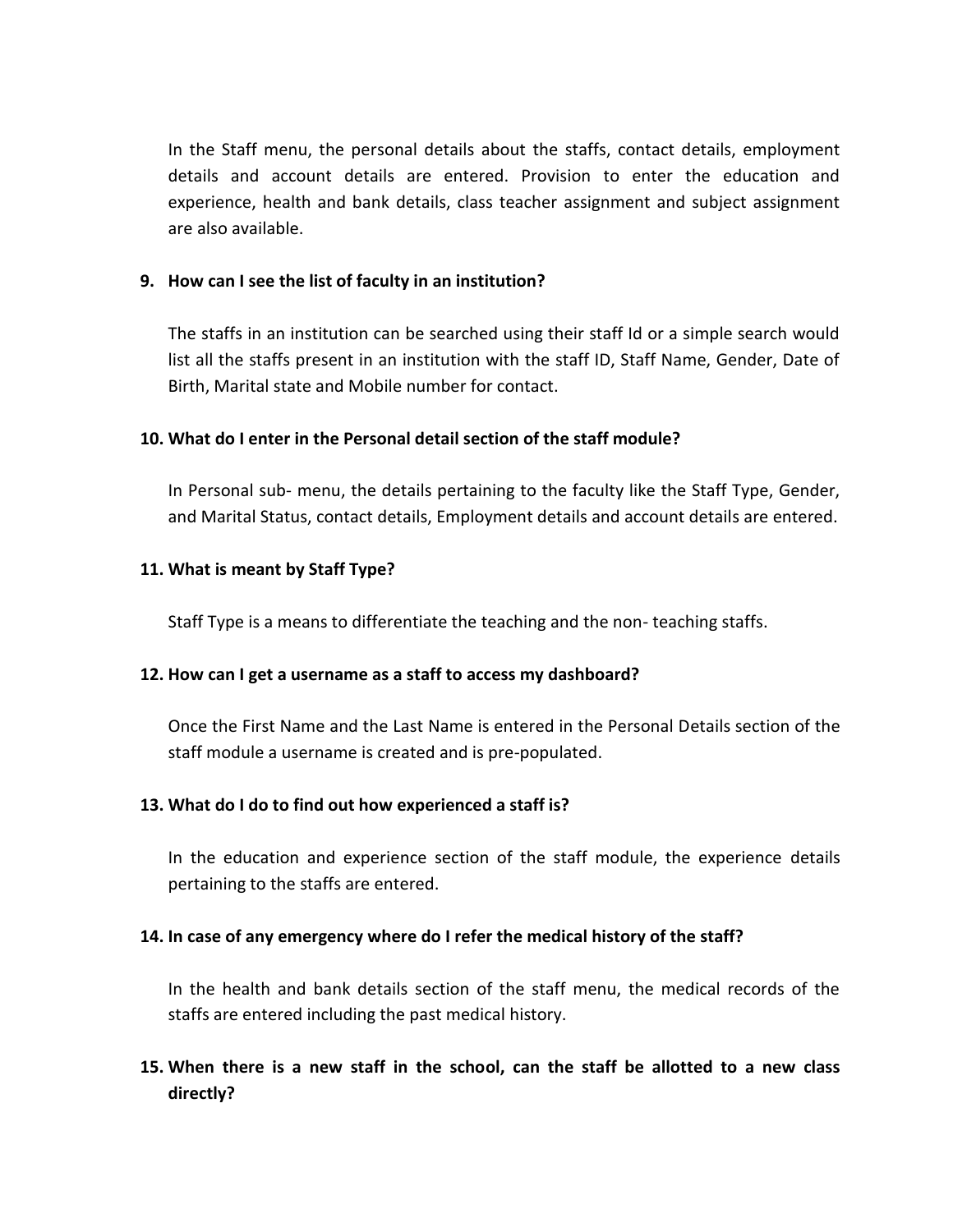In the Staff menu, the personal details about the staffs, contact details, employment details and account details are entered. Provision to enter the education and experience, health and bank details, class teacher assignment and subject assignment are also available.

## **9. How can I see the list of faculty in an institution?**

The staffs in an institution can be searched using their staff Id or a simple search would list all the staffs present in an institution with the staff ID, Staff Name, Gender, Date of Birth, Marital state and Mobile number for contact.

## **10. What do I enter in the Personal detail section of the staff module?**

In Personal sub- menu, the details pertaining to the faculty like the Staff Type, Gender, and Marital Status, contact details, Employment details and account details are entered.

## **11. What is meant by Staff Type?**

Staff Type is a means to differentiate the teaching and the non- teaching staffs.

#### **12. How can I get a username as a staff to access my dashboard?**

Once the First Name and the Last Name is entered in the Personal Details section of the staff module a username is created and is pre-populated.

## **13. What do I do to find out how experienced a staff is?**

In the education and experience section of the staff module, the experience details pertaining to the staffs are entered.

#### **14. In case of any emergency where do I refer the medical history of the staff?**

In the health and bank details section of the staff menu, the medical records of the staffs are entered including the past medical history.

# **15. When there is a new staff in the school, can the staff be allotted to a new class directly?**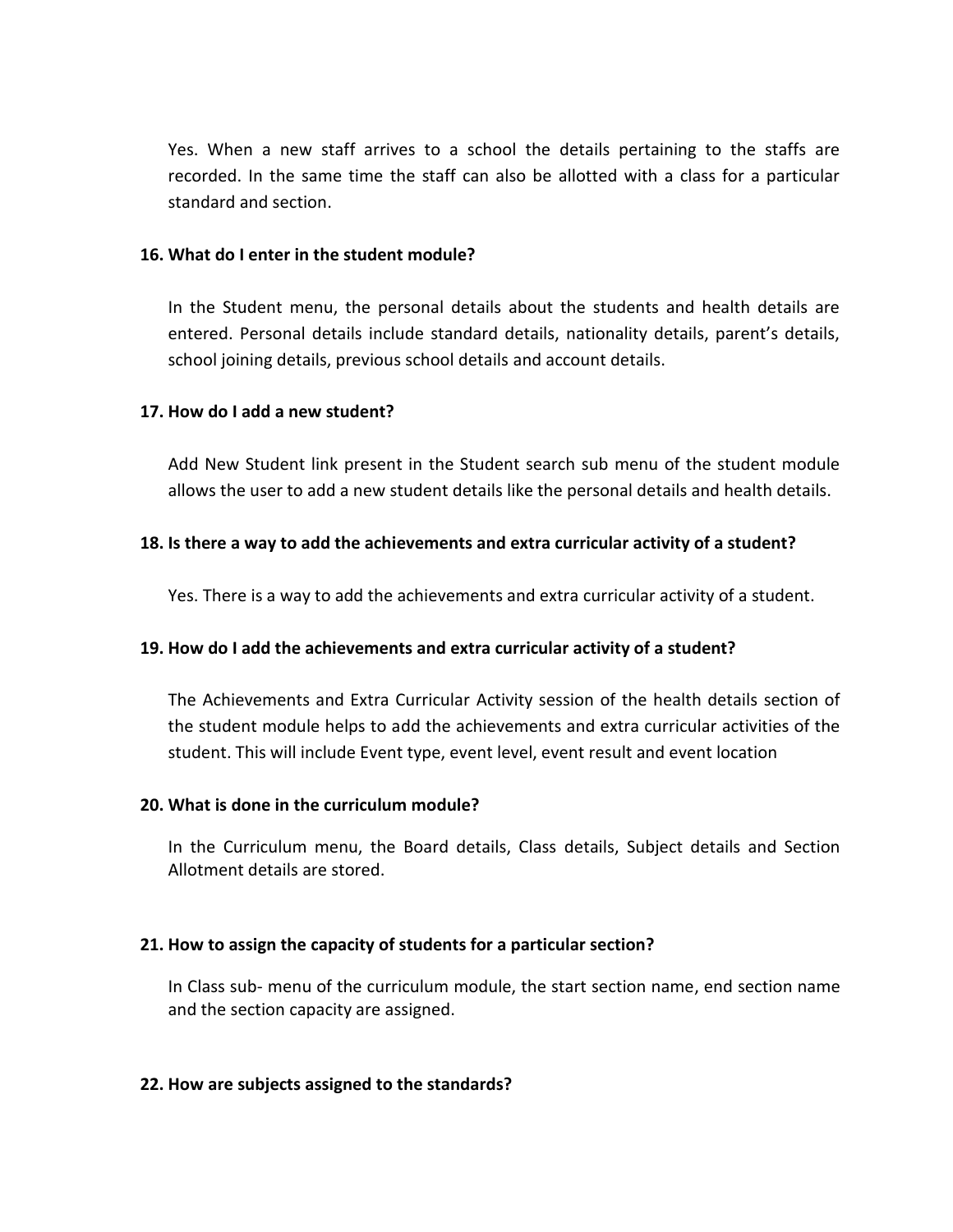Yes. When a new staff arrives to a school the details pertaining to the staffs are recorded. In the same time the staff can also be allotted with a class for a particular standard and section.

#### **16. What do I enter in the student module?**

In the Student menu, the personal details about the students and health details are entered. Personal details include standard details, nationality details, parent's details, school joining details, previous school details and account details.

#### **17. How do I add a new student?**

Add New Student link present in the Student search sub menu of the student module allows the user to add a new student details like the personal details and health details.

#### **18. Is there a way to add the achievements and extra curricular activity of a student?**

Yes. There is a way to add the achievements and extra curricular activity of a student.

#### **19. How do I add the achievements and extra curricular activity of a student?**

The Achievements and Extra Curricular Activity session of the health details section of the student module helps to add the achievements and extra curricular activities of the student. This will include Event type, event level, event result and event location

#### **20. What is done in the curriculum module?**

In the Curriculum menu, the Board details, Class details, Subject details and Section Allotment details are stored.

#### **21. How to assign the capacity of students for a particular section?**

In Class sub- menu of the curriculum module, the start section name, end section name and the section capacity are assigned.

#### **22. How are subjects assigned to the standards?**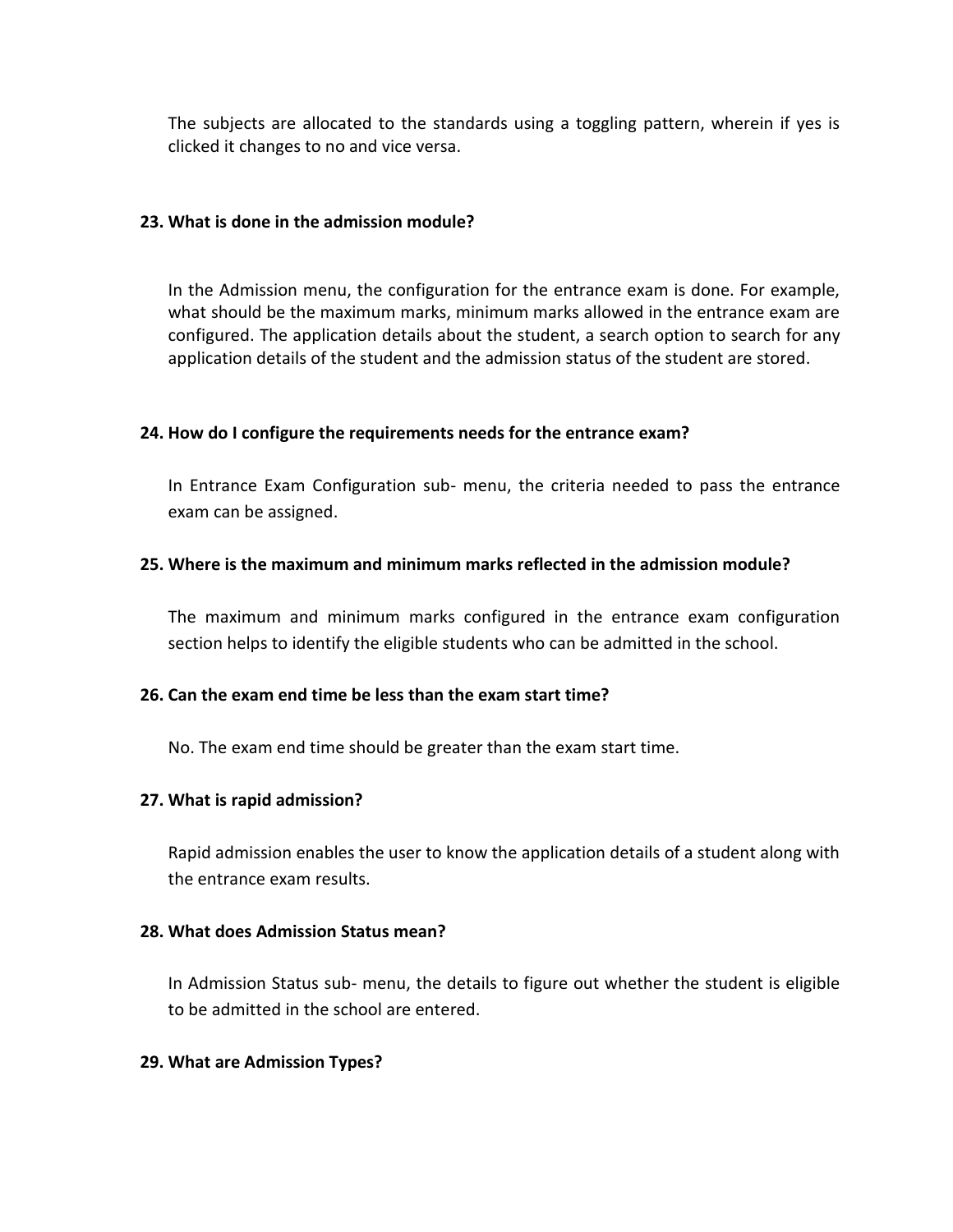The subjects are allocated to the standards using a toggling pattern, wherein if yes is clicked it changes to no and vice versa.

#### **23. What is done in the admission module?**

In the Admission menu, the configuration for the entrance exam is done. For example, what should be the maximum marks, minimum marks allowed in the entrance exam are configured. The application details about the student, a search option to search for any application details of the student and the admission status of the student are stored.

#### **24. How do I configure the requirements needs for the entrance exam?**

In Entrance Exam Configuration sub- menu, the criteria needed to pass the entrance exam can be assigned.

## **25. Where is the maximum and minimum marks reflected in the admission module?**

The maximum and minimum marks configured in the entrance exam configuration section helps to identify the eligible students who can be admitted in the school.

#### **26. Can the exam end time be less than the exam start time?**

No. The exam end time should be greater than the exam start time.

#### **27. What is rapid admission?**

Rapid admission enables the user to know the application details of a student along with the entrance exam results.

#### **28. What does Admission Status mean?**

In Admission Status sub- menu, the details to figure out whether the student is eligible to be admitted in the school are entered.

#### **29. What are Admission Types?**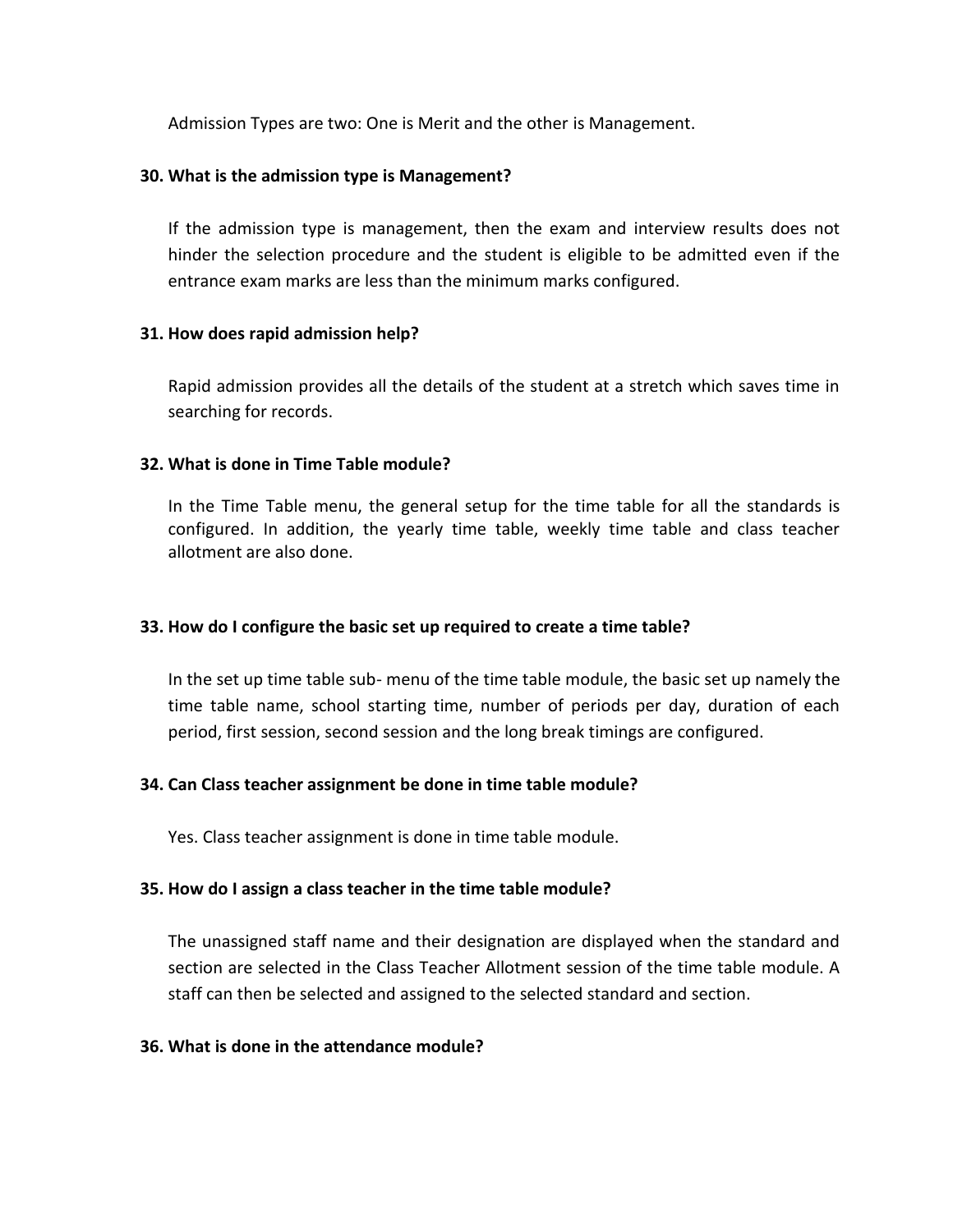Admission Types are two: One is Merit and the other is Management.

#### **30. What is the admission type is Management?**

If the admission type is management, then the exam and interview results does not hinder the selection procedure and the student is eligible to be admitted even if the entrance exam marks are less than the minimum marks configured.

## **31. How does rapid admission help?**

Rapid admission provides all the details of the student at a stretch which saves time in searching for records.

## **32. What is done in Time Table module?**

In the Time Table menu, the general setup for the time table for all the standards is configured. In addition, the yearly time table, weekly time table and class teacher allotment are also done.

## **33. How do I configure the basic set up required to create a time table?**

In the set up time table sub- menu of the time table module, the basic set up namely the time table name, school starting time, number of periods per day, duration of each period, first session, second session and the long break timings are configured.

## **34. Can Class teacher assignment be done in time table module?**

Yes. Class teacher assignment is done in time table module.

#### **35. How do I assign a class teacher in the time table module?**

The unassigned staff name and their designation are displayed when the standard and section are selected in the Class Teacher Allotment session of the time table module. A staff can then be selected and assigned to the selected standard and section.

#### **36. What is done in the attendance module?**